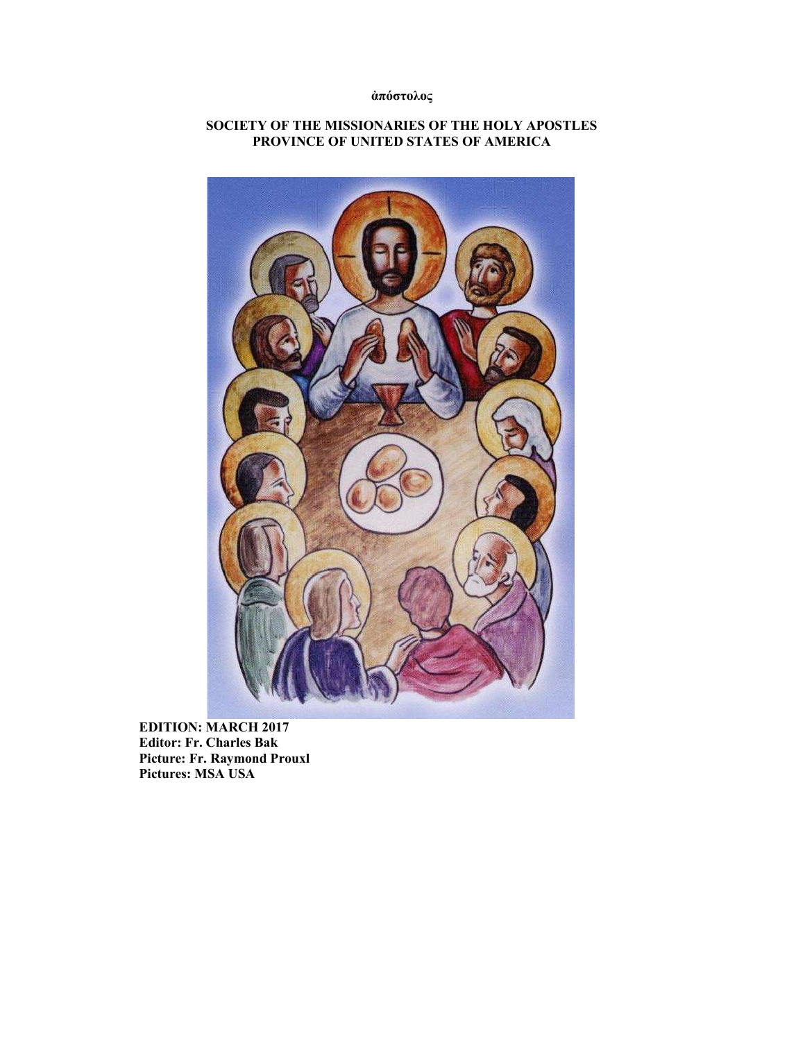## ἀπόστολος

## SOCIETY OF THE MISSIONARIES OF THE HOLY APOSTLES PROVINCE OF UNITED STATES OF AMERICA



EDITION: MARCH 2017 Editor: Fr. Charles Bak Picture: Fr. Raymond Prouxl Pictures: MSA USA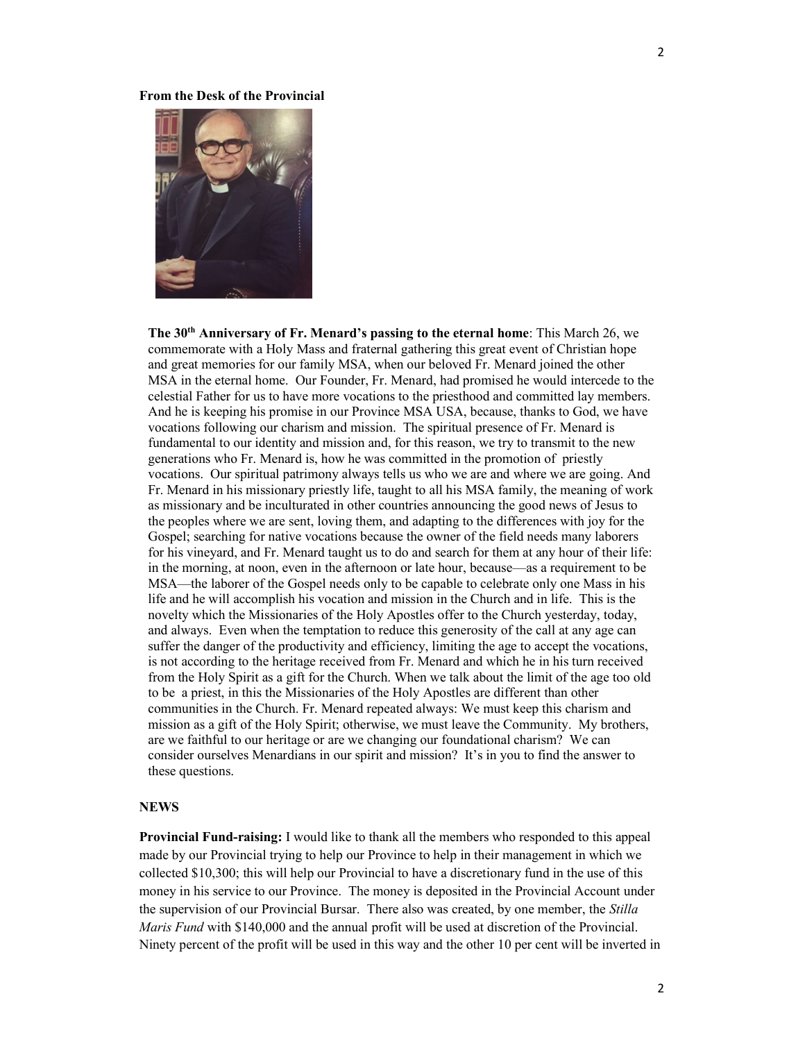#### From the Desk of the Provincial



The 30<sup>th</sup> Anniversary of Fr. Menard's passing to the eternal home: This March 26, we commemorate with a Holy Mass and fraternal gathering this great event of Christian hope and great memories for our family MSA, when our beloved Fr. Menard joined the other MSA in the eternal home. Our Founder, Fr. Menard, had promised he would intercede to the celestial Father for us to have more vocations to the priesthood and committed lay members. And he is keeping his promise in our Province MSA USA, because, thanks to God, we have vocations following our charism and mission. The spiritual presence of Fr. Menard is fundamental to our identity and mission and, for this reason, we try to transmit to the new generations who Fr. Menard is, how he was committed in the promotion of priestly vocations. Our spiritual patrimony always tells us who we are and where we are going. And Fr. Menard in his missionary priestly life, taught to all his MSA family, the meaning of work as missionary and be inculturated in other countries announcing the good news of Jesus to the peoples where we are sent, loving them, and adapting to the differences with joy for the Gospel; searching for native vocations because the owner of the field needs many laborers for his vineyard, and Fr. Menard taught us to do and search for them at any hour of their life: in the morning, at noon, even in the afternoon or late hour, because—as a requirement to be MSA—the laborer of the Gospel needs only to be capable to celebrate only one Mass in his life and he will accomplish his vocation and mission in the Church and in life. This is the novelty which the Missionaries of the Holy Apostles offer to the Church yesterday, today, and always. Even when the temptation to reduce this generosity of the call at any age can suffer the danger of the productivity and efficiency, limiting the age to accept the vocations, is not according to the heritage received from Fr. Menard and which he in his turn received from the Holy Spirit as a gift for the Church. When we talk about the limit of the age too old to be a priest, in this the Missionaries of the Holy Apostles are different than other communities in the Church. Fr. Menard repeated always: We must keep this charism and mission as a gift of the Holy Spirit; otherwise, we must leave the Community. My brothers, are we faithful to our heritage or are we changing our foundational charism? We can consider ourselves Menardians in our spirit and mission? It's in you to find the answer to these questions.

## **NEWS**

Provincial Fund-raising: I would like to thank all the members who responded to this appeal made by our Provincial trying to help our Province to help in their management in which we collected \$10,300; this will help our Provincial to have a discretionary fund in the use of this money in his service to our Province. The money is deposited in the Provincial Account under the supervision of our Provincial Bursar. There also was created, by one member, the Stilla Maris Fund with \$140,000 and the annual profit will be used at discretion of the Provincial. Ninety percent of the profit will be used in this way and the other 10 per cent will be inverted in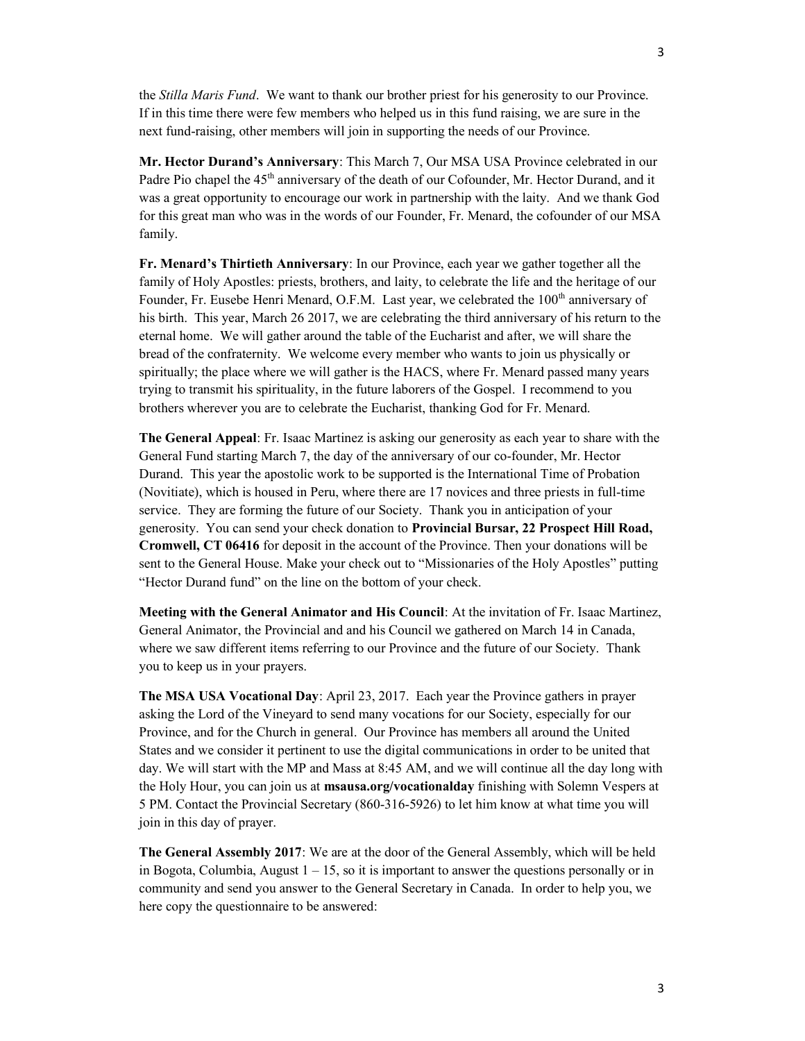the *Stilla Maris Fund*. We want to thank our brother priest for his generosity to our Province. If in this time there were few members who helped us in this fund raising, we are sure in the next fund-raising, other members will join in supporting the needs of our Province.

Mr. Hector Durand's Anniversary: This March 7, Our MSA USA Province celebrated in our Padre Pio chapel the 45<sup>th</sup> anniversary of the death of our Cofounder, Mr. Hector Durand, and it was a great opportunity to encourage our work in partnership with the laity. And we thank God for this great man who was in the words of our Founder, Fr. Menard, the cofounder of our MSA family.

Fr. Menard's Thirtieth Anniversary: In our Province, each year we gather together all the family of Holy Apostles: priests, brothers, and laity, to celebrate the life and the heritage of our Founder, Fr. Eusebe Henri Menard, O.F.M. Last year, we celebrated the 100<sup>th</sup> anniversary of his birth. This year, March 26 2017, we are celebrating the third anniversary of his return to the eternal home. We will gather around the table of the Eucharist and after, we will share the bread of the confraternity. We welcome every member who wants to join us physically or spiritually; the place where we will gather is the HACS, where Fr. Menard passed many years trying to transmit his spirituality, in the future laborers of the Gospel. I recommend to you brothers wherever you are to celebrate the Eucharist, thanking God for Fr. Menard.

The General Appeal: Fr. Isaac Martinez is asking our generosity as each year to share with the General Fund starting March 7, the day of the anniversary of our co-founder, Mr. Hector Durand. This year the apostolic work to be supported is the International Time of Probation (Novitiate), which is housed in Peru, where there are 17 novices and three priests in full-time service. They are forming the future of our Society. Thank you in anticipation of your generosity. You can send your check donation to Provincial Bursar, 22 Prospect Hill Road, Cromwell, CT 06416 for deposit in the account of the Province. Then your donations will be sent to the General House. Make your check out to "Missionaries of the Holy Apostles" putting "Hector Durand fund" on the line on the bottom of your check.

Meeting with the General Animator and His Council: At the invitation of Fr. Isaac Martinez, General Animator, the Provincial and and his Council we gathered on March 14 in Canada, where we saw different items referring to our Province and the future of our Society. Thank you to keep us in your prayers.

The MSA USA Vocational Day: April 23, 2017. Each year the Province gathers in prayer asking the Lord of the Vineyard to send many vocations for our Society, especially for our Province, and for the Church in general. Our Province has members all around the United States and we consider it pertinent to use the digital communications in order to be united that day. We will start with the MP and Mass at 8:45 AM, and we will continue all the day long with the Holy Hour, you can join us at **msausa.org/vocationalday** finishing with Solemn Vespers at 5 PM. Contact the Provincial Secretary (860-316-5926) to let him know at what time you will join in this day of prayer.

The General Assembly 2017: We are at the door of the General Assembly, which will be held in Bogota, Columbia, August  $1 - 15$ , so it is important to answer the questions personally or in community and send you answer to the General Secretary in Canada. In order to help you, we here copy the questionnaire to be answered: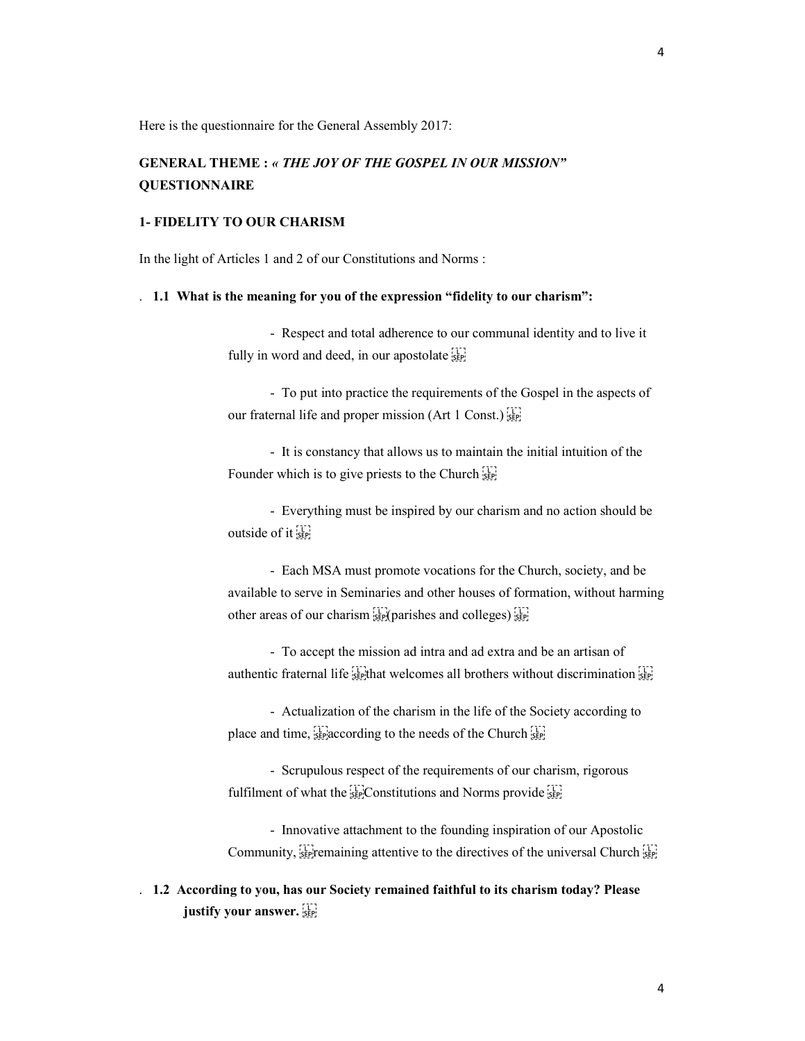Here is the questionnaire for the General Assembly 2017:

## GENERAL THEME : « THE JOY OF THE GOSPEL IN OUR MISSION" **OUESTIONNAIRE**

### 1- FIDELITY TO OUR CHARISM

In the light of Articles 1 and 2 of our Constitutions and Norms :

## . 1.1 What is the meaning for you of the expression "fidelity to our charism":

 - Respect and total adherence to our communal identity and to live it fully in word and deed, in our apostolate see

 - To put into practice the requirements of the Gospel in the aspects of our fraternal life and proper mission (Art 1 Const.) 

 - It is constancy that allows us to maintain the initial intuition of the Founder which is to give priests to the Church sep-

 - Everything must be inspired by our charism and no action should be outside of it see

 - Each MSA must promote vocations for the Church, society, and be available to serve in Seminaries and other houses of formation, without harming other areas of our charism  $\sum_{\text{SEP}}$  (parishes and colleges)  $\sum_{\text{SEP}}$ 

 - To accept the mission ad intra and ad extra and be an artisan of authentic fraternal life  $\frac{1}{15}$  that welcomes all brothers without discrimination  $\frac{1}{15}$ 

 - Actualization of the charism in the life of the Society according to place and time,  $\frac{1}{25}$  according to the needs of the Church  $\frac{1}{25}$ 

 - Scrupulous respect of the requirements of our charism, rigorous fulfilment of what the **E** see Constitutions and Norms provide **SEP** 

 - Innovative attachment to the founding inspiration of our Apostolic Community,  $\sum_{s \in \mathcal{S}}$  remaining attentive to the directives of the universal Church  $\sum_{s \in \mathcal{S}}$ 

. 1.2 According to you, has our Society remained faithful to its charism today? Please justify your answer.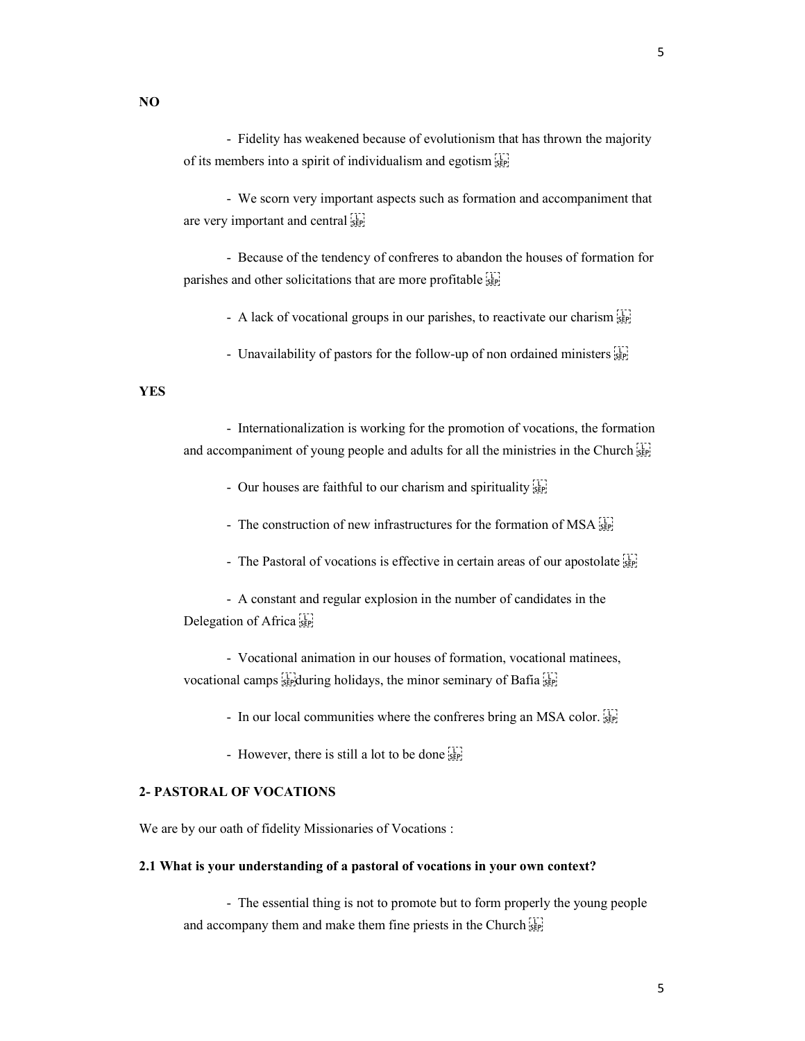NO

 - Fidelity has weakened because of evolutionism that has thrown the majority of its members into a spirit of individualism and egotism 

 - We scorn very important aspects such as formation and accompaniment that are very important and central sep-

 - Because of the tendency of confreres to abandon the houses of formation for parishes and other solicitations that are more profitable see

- A lack of vocational groups in our parishes, to reactivate our charism  $\frac{1}{25}$ 

- Unavailability of pastors for the follow-up of non ordained ministers  $\frac{17}{25}$ 

## YES

 - Internationalization is working for the promotion of vocations, the formation and accompaniment of young people and adults for all the ministries in the Church <sup>[17]</sup><sub>5EP</sub>

- Our houses are faithful to our charism and spirituality  $\sum_{s \in \mathbb{N}}$ 

- The construction of new infrastructures for the formation of MSA  $_{\rm SEP}^{\text{TT}}$ 

- The Pastoral of vocations is effective in certain areas of our apostolate  $\frac{1}{25}$ 

 - A constant and regular explosion in the number of candidates in the Delegation of Africa

 - Vocational animation in our houses of formation, vocational matinees, vocational camps  $\frac{1}{2}$  during holidays, the minor seminary of Bafia  $\frac{1}{2}$ 

- In our local communities where the confreres bring an MSA color.

- However, there is still a lot to be done step

### 2- PASTORAL OF VOCATIONS

We are by our oath of fidelity Missionaries of Vocations :

### 2.1 What is your understanding of a pastoral of vocations in your own context?

 - The essential thing is not to promote but to form properly the young people and accompany them and make them fine priests in the Church  $\sum_{s}$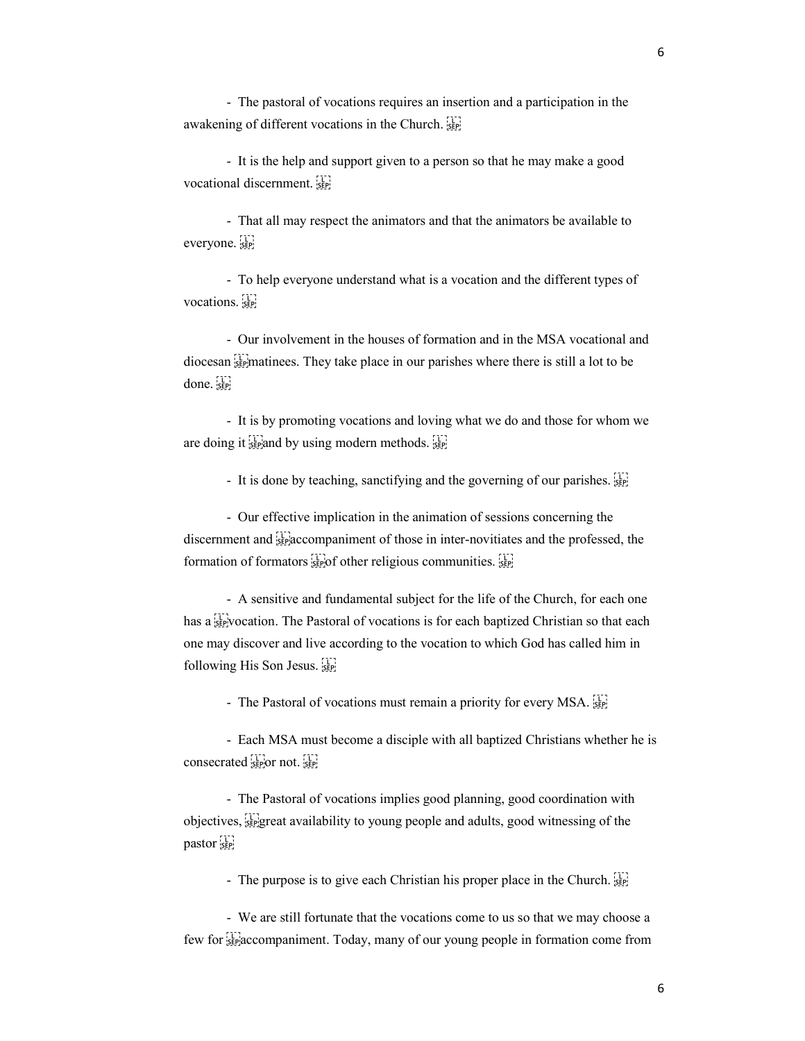- The pastoral of vocations requires an insertion and a participation in the awakening of different vocations in the Church.  $\frac{1}{15}$ 

 - It is the help and support given to a person so that he may make a good vocational discernment. 

 - That all may respect the animators and that the animators be available to everyone.

 - To help everyone understand what is a vocation and the different types of vocations.

 - Our involvement in the houses of formation and in the MSA vocational and diocesan 
matinees. They take place in our parishes where there is still a lot to be done.

 - It is by promoting vocations and loving what we do and those for whom we are doing it  $\frac{1}{25}$  and by using modern methods.  $\frac{1}{25}$ 

- It is done by teaching, sanctifying and the governing of our parishes.

 - Our effective implication in the animation of sessions concerning the discernment and  $\frac{1}{35}$  accompaniment of those in inter-novitiates and the professed, the formation of formators  $\prod_{s\in P}$  of other religious communities.

 - A sensitive and fundamental subject for the life of the Church, for each one has a step vocation. The Pastoral of vocations is for each baptized Christian so that each one may discover and live according to the vocation to which God has called him in following His Son Jesus. 

- The Pastoral of vocations must remain a priority for every MSA.

 - Each MSA must become a disciple with all baptized Christians whether he is  $\frac{1}{2}$  consecrated  $\frac{1}{2}$  or not.  $\frac{1}{2}$ 

 - The Pastoral of vocations implies good planning, good coordination with objectives, 
great availability to young people and adults, good witnessing of the pastor<sup>11</sup>

- The purpose is to give each Christian his proper place in the Church.

 - We are still fortunate that the vocations come to us so that we may choose a few for  $\frac{1}{100}$  few for separation come from from the Today, many of our young people in formation come from

6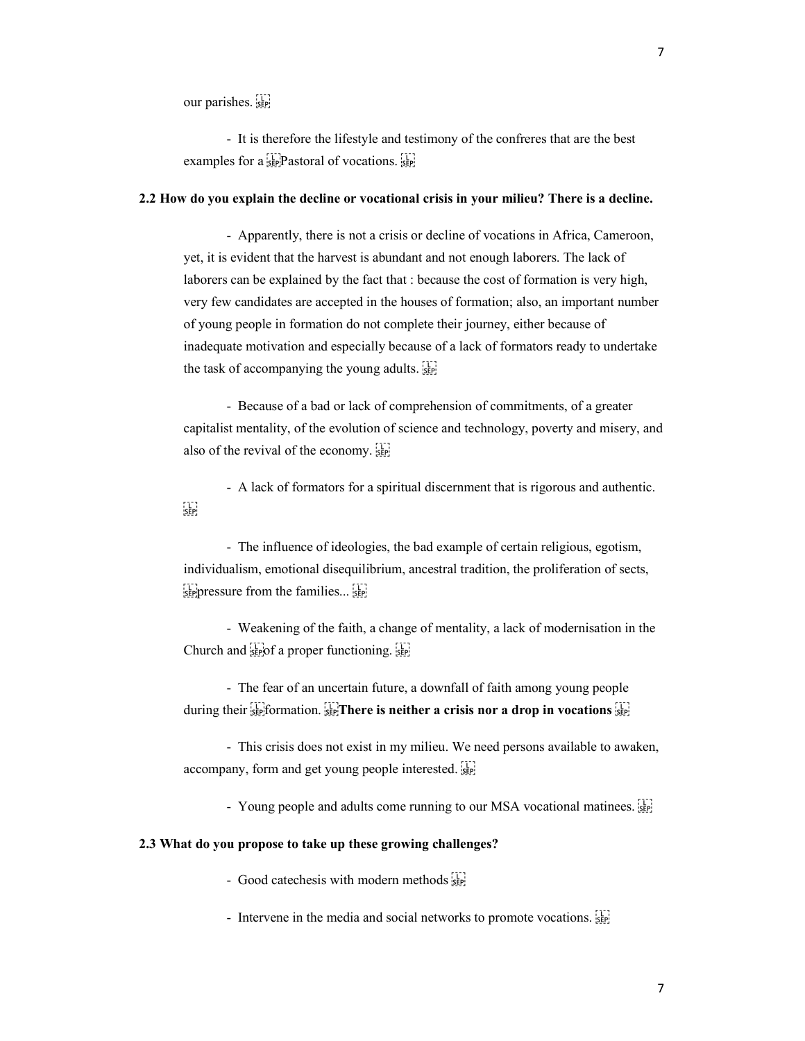our parishes.

 - It is therefore the lifestyle and testimony of the confreres that are the best examples for a  $\sum_{s \in P}$  Pastoral of vocations.

#### 2.2 How do you explain the decline or vocational crisis in your milieu? There is a decline.

 - Apparently, there is not a crisis or decline of vocations in Africa, Cameroon, yet, it is evident that the harvest is abundant and not enough laborers. The lack of laborers can be explained by the fact that : because the cost of formation is very high, very few candidates are accepted in the houses of formation; also, an important number of young people in formation do not complete their journey, either because of inadequate motivation and especially because of a lack of formators ready to undertake the task of accompanying the young adults. 

 - Because of a bad or lack of comprehension of commitments, of a greater capitalist mentality, of the evolution of science and technology, poverty and misery, and also of the revival of the economy.

 - A lack of formators for a spiritual discernment that is rigorous and authentic.  $\frac{1}{2}$ 

 - The influence of ideologies, the bad example of certain religious, egotism, individualism, emotional disequilibrium, ancestral tradition, the proliferation of sects,  $\sum_{s \in P}$  pressure from the families...  $\sum_{s \in P}$ 

 - Weakening of the faith, a change of mentality, a lack of modernisation in the Church and  $\lim_{\epsilon \to 0}$  a proper functioning.  $\lim_{\epsilon \to 0}$ 

 - The fear of an uncertain future, a downfall of faith among young people during their  $\prod_{s \in \mathcal{S}}$  formation.  $\prod_{s \in \mathcal{S}}$  There is neither a crisis nor a drop in vocations  $\prod_{s \in \mathcal{S}}$ 

 - This crisis does not exist in my milieu. We need persons available to awaken, accompany, form and get young people interested. 

- Young people and adults come running to our MSA vocational matinees.

#### 2.3 What do you propose to take up these growing challenges?

- Good catechesis with modern methods see

- Intervene in the media and social networks to promote vocations.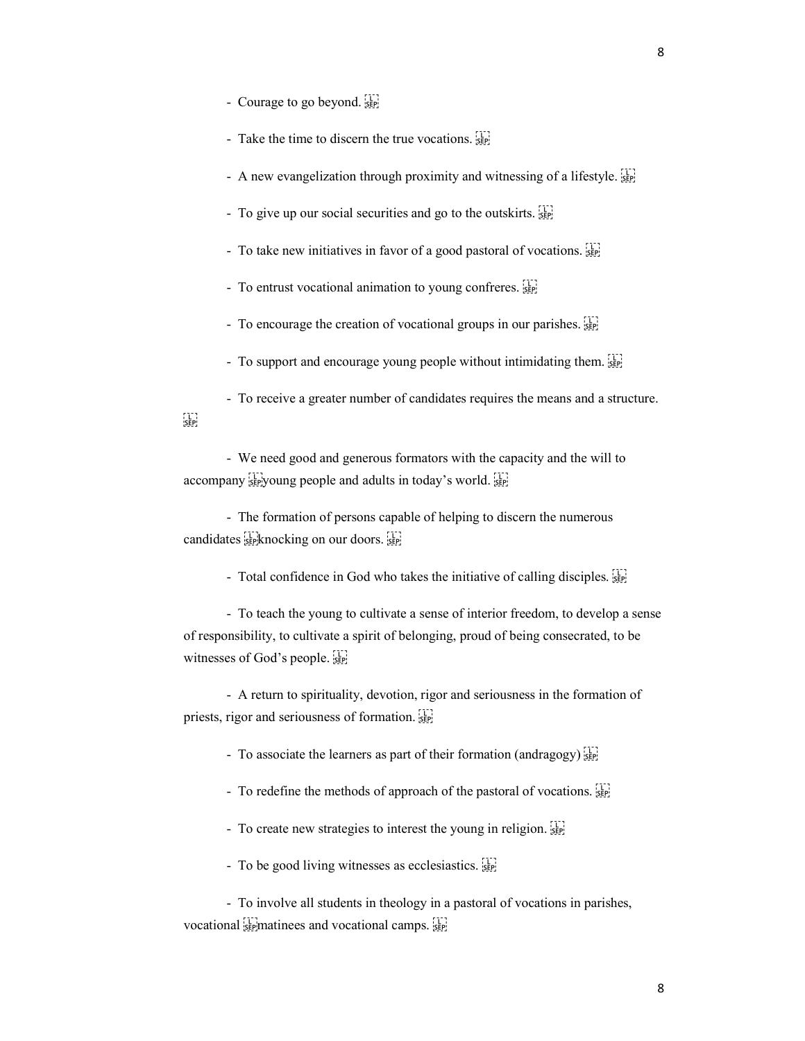- Courage to go beyond.
- Take the time to discern the true vocations.
- A new evangelization through proximity and witnessing of a lifestyle.
- To give up our social securities and go to the outskirts.
- To take new initiatives in favor of a good pastoral of vocations.
- To entrust vocational animation to young confreres.
- To encourage the creation of vocational groups in our parishes.  $\frac{17}{35}$
- To support and encourage young people without intimidating them.

 - To receive a greater number of candidates requires the means and a structure.  $\sum_{i \in \mathbf{P}_i}$ 

 - We need good and generous formators with the capacity and the will to accompany see young people and adults in today's world.

 - The formation of persons capable of helping to discern the numerous candidates seeknocking on our doors.

- Total confidence in God who takes the initiative of calling disciples.

 - To teach the young to cultivate a sense of interior freedom, to develop a sense of responsibility, to cultivate a spirit of belonging, proud of being consecrated, to be witnesses of God's people.

 - A return to spirituality, devotion, rigor and seriousness in the formation of priests, rigor and seriousness of formation. 

- To associate the learners as part of their formation (andragogy)  $\frac{1}{15}$ 

- To redefine the methods of approach of the pastoral of vocations.
- To create new strategies to interest the young in religion.  $\frac{17}{35}$
- To be good living witnesses as ecclesiastics.

 - To involve all students in theology in a pastoral of vocations in parishes, vocational segmetinees and vocational camps.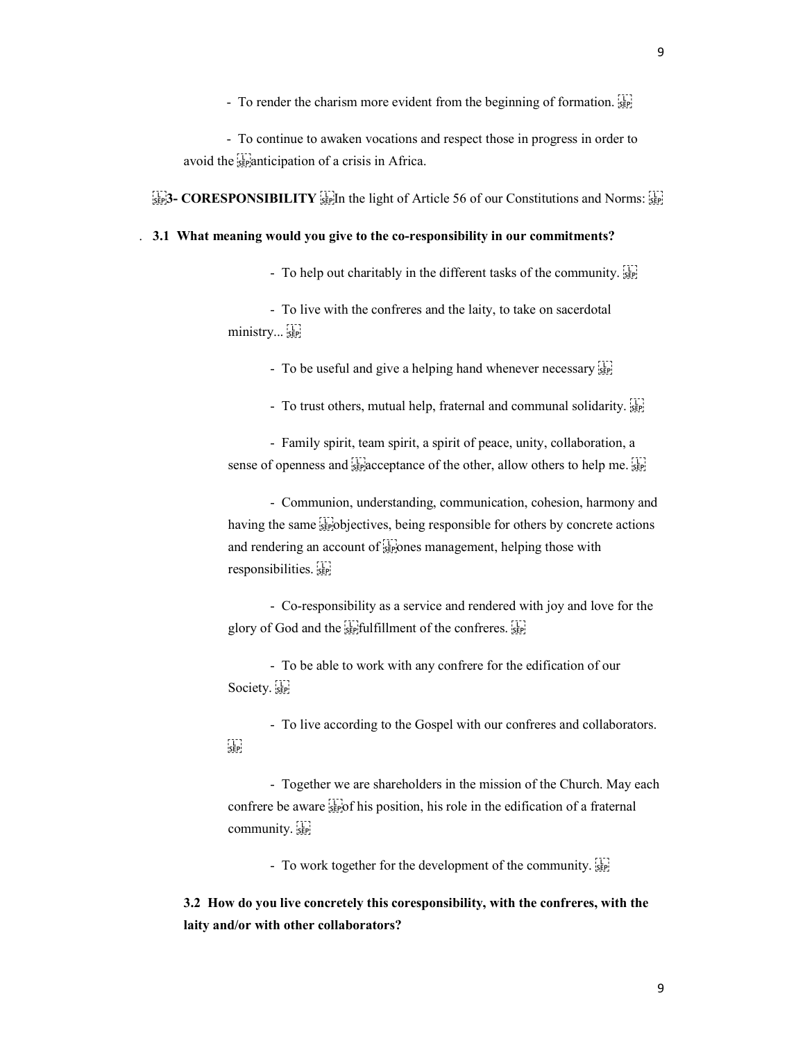- To render the charism more evident from the beginning of formation.  $\Xi_{\text{SPP}}$ 

 - To continue to awaken vocations and respect those in progress in order to avoid the  $s_{\text{sep}}$  anticipation of a crisis in Africa.

 $\begin{bmatrix} 1 \\ 1 \end{bmatrix}$  CORESPONSIBILITY  $\begin{bmatrix} 1 \\ 5 \end{bmatrix}$  in the light of Article 56 of our Constitutions and Norms:  $\begin{bmatrix} 1 \\ 5 \end{bmatrix}$ 

## . 3.1 What meaning would you give to the co-responsibility in our commitments?

- To help out charitably in the different tasks of the community.  $\frac{1}{25}$ 

 - To live with the confreres and the laity, to take on sacerdotal ministry... sep

- To be useful and give a helping hand whenever necessary seed

- To trust others, mutual help, fraternal and communal solidarity.

 - Family spirit, team spirit, a spirit of peace, unity, collaboration, a sense of openness and  $\frac{1}{35}$  acceptance of the other, allow others to help me.

 - Communion, understanding, communication, cohesion, harmony and having the same  $\frac{1}{25}$  bjectives, being responsible for others by concrete actions and rendering an account of  $\Xi$  is ones management, helping those with responsibilities.

 - Co-responsibility as a service and rendered with joy and love for the glory of God and the  $\frac{1}{15}$  fulfillment of the confreres.  $\frac{1}{15}$ 

 - To be able to work with any confrere for the edification of our Society.

 - To live according to the Gospel with our confreres and collaborators.  $\sum_{i\in \mathbf{P}_i}$ 

 - Together we are shareholders in the mission of the Church. May each confrere be aware  $\frac{1}{25}$  of his position, his role in the edification of a fraternal community.

- To work together for the development of the community.

3.2 How do you live concretely this coresponsibility, with the confreres, with the laity and/or with other collaborators?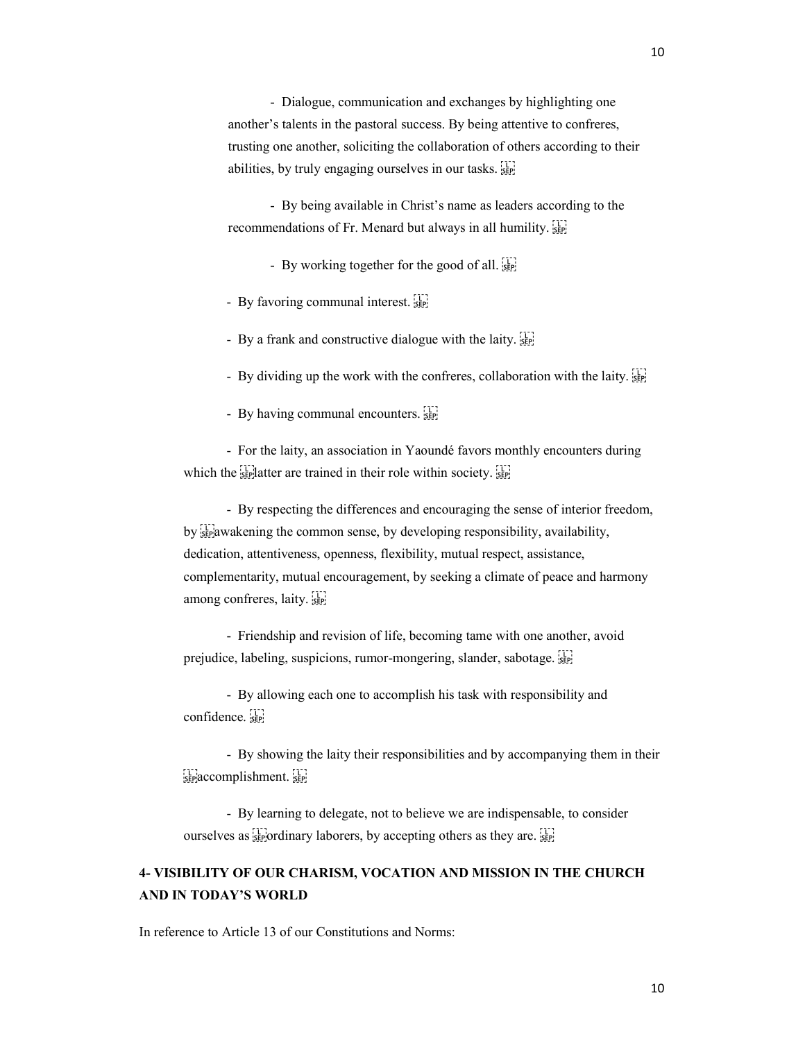- Dialogue, communication and exchanges by highlighting one another's talents in the pastoral success. By being attentive to confreres, trusting one another, soliciting the collaboration of others according to their abilities, by truly engaging ourselves in our tasks.  $\frac{1}{25}$ 

 - By being available in Christ's name as leaders according to the recommendations of Fr. Menard but always in all humility. 

- By working together for the good of all.

- By favoring communal interest.

- By a frank and constructive dialogue with the laity.

- By dividing up the work with the confreres, collaboration with the laity.  $\frac{1}{25}$ 

- By having communal encounters.

 - For the laity, an association in Yaoundé favors monthly encounters during which the  $\frac{1}{15}$  latter are trained in their role within society.

 - By respecting the differences and encouraging the sense of interior freedom, by **stepawakening** the common sense, by developing responsibility, availability, dedication, attentiveness, openness, flexibility, mutual respect, assistance, complementarity, mutual encouragement, by seeking a climate of peace and harmony among confreres, laity.

 - Friendship and revision of life, becoming tame with one another, avoid prejudice, labeling, suspicions, rumor-mongering, slander, sabotage. [17]

 - By allowing each one to accomplish his task with responsibility and confidence.

 - By showing the laity their responsibilities and by accompanying them in their  $\sum_{s \in P}$  accomplishment.

 - By learning to delegate, not to believe we are indispensable, to consider ourselves as  $\frac{1}{2}$  ordinary laborers, by accepting others as they are.

## 4- VISIBILITY OF OUR CHARISM, VOCATION AND MISSION IN THE CHURCH AND IN TODAY'S WORLD

In reference to Article 13 of our Constitutions and Norms: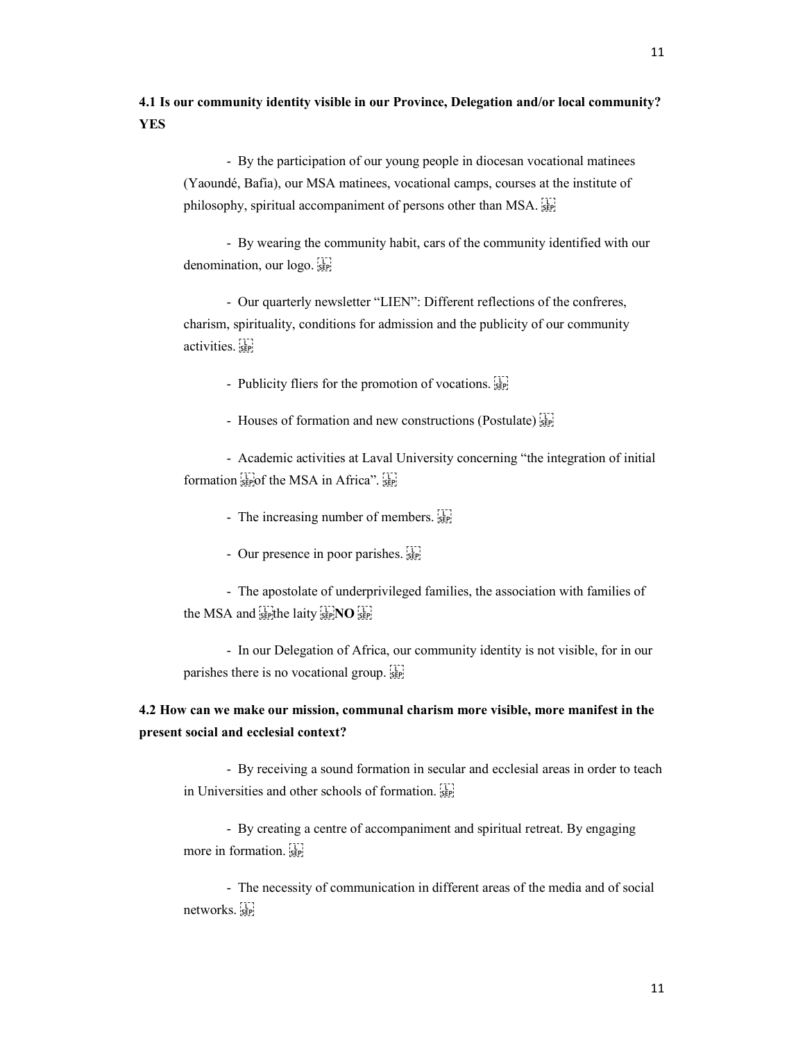4.1 Is our community identity visible in our Province, Delegation and/or local community? YES

 - By the participation of our young people in diocesan vocational matinees (Yaoundé, Bafia), our MSA matinees, vocational camps, courses at the institute of philosophy, spiritual accompaniment of persons other than MSA.

 - By wearing the community habit, cars of the community identified with our denomination, our logo.

 - Our quarterly newsletter "LIEN": Different reflections of the confreres, charism, spirituality, conditions for admission and the publicity of our community activities.

- Publicity fliers for the promotion of vocations.

- Houses of formation and new constructions (Postulate) see

 - Academic activities at Laval University concerning "the integration of initial formation  $_{\text{SEP}}$  of the MSA in Africa".  $_{\text{SEP}}$ 

- The increasing number of members.

- Our presence in poor parishes.

 - The apostolate of underprivileged families, the association with families of the MSA and  $s_{\text{EP}}^{\text{L}}$  the laity  $s_{\text{EP}}^{\text{L}}$  NO  $s_{\text{EP}}^{\text{L}}$ 

 - In our Delegation of Africa, our community identity is not visible, for in our parishes there is no vocational group.

# 4.2 How can we make our mission, communal charism more visible, more manifest in the present social and ecclesial context?

 - By receiving a sound formation in secular and ecclesial areas in order to teach in Universities and other schools of formation. 

 - By creating a centre of accompaniment and spiritual retreat. By engaging more in formation. 

 - The necessity of communication in different areas of the media and of social networks.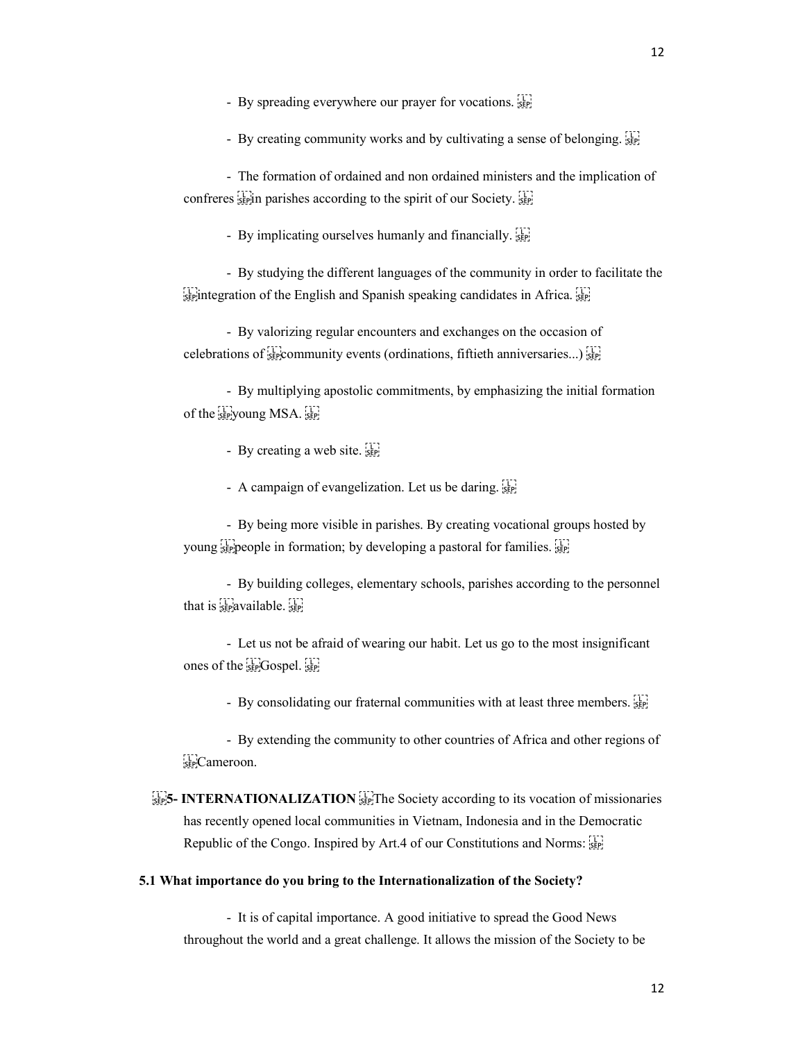- By creating community works and by cultivating a sense of belonging.

 - The formation of ordained and non ordained ministers and the implication of confreres  $\frac{1}{25}$  in parishes according to the spirit of our Society.

- By implicating ourselves humanly and financially.

 - By studying the different languages of the community in order to facilitate the  $\frac{1}{15}$  integration of the English and Spanish speaking candidates in Africa.  $\frac{1}{15}$ 

 - By valorizing regular encounters and exchanges on the occasion of celebrations of  $\sum_{s \in \mathcal{S}}$  community events (ordinations, fiftieth anniversaries...)  $\sum_{s \in \mathcal{S}}$ 

 - By multiplying apostolic commitments, by emphasizing the initial formation of the see young MSA.

- By creating a web site.  $\overline{\mathbf{s}}_{\text{SPP}}$ 

- A campaign of evangelization. Let us be daring.

 - By being more visible in parishes. By creating vocational groups hosted by young seppeople in formation; by developing a pastoral for families.

 - By building colleges, elementary schools, parishes according to the personnel that is  $s_{\text{sep}}$  available.  $s_{\text{sep}}$ 

 - Let us not be afraid of wearing our habit. Let us go to the most insignificant ones of the 
Gospel. 

- By consolidating our fraternal communities with at least three members.

 - By extending the community to other countries of Africa and other regions of EPCameroon.

 $\frac{1}{150}$ S- INTERNATIONALIZATION  $\frac{1}{150}$ The Society according to its vocation of missionaries has recently opened local communities in Vietnam, Indonesia and in the Democratic Republic of the Congo. Inspired by Art.4 of our Constitutions and Norms:  $\frac{1}{15}$ 

#### 5.1 What importance do you bring to the Internationalization of the Society?

 - It is of capital importance. A good initiative to spread the Good News throughout the world and a great challenge. It allows the mission of the Society to be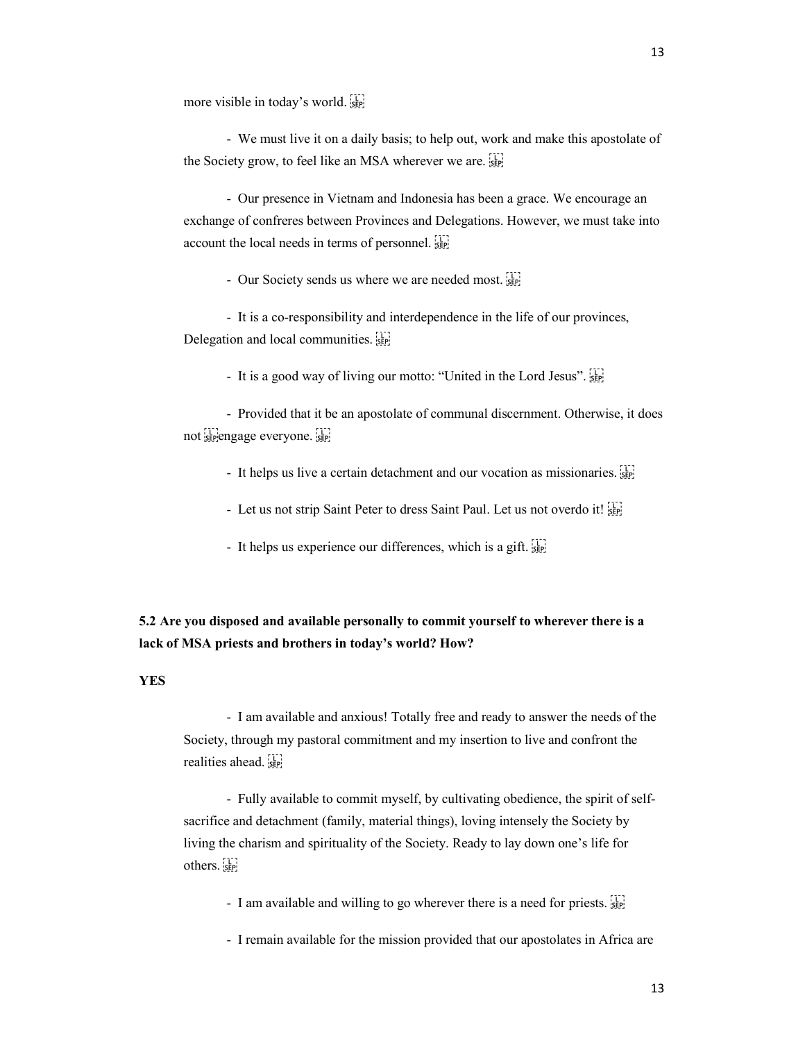more visible in today's world. 

 - We must live it on a daily basis; to help out, work and make this apostolate of the Society grow, to feel like an MSA wherever we are. **SEPI** 

 - Our presence in Vietnam and Indonesia has been a grace. We encourage an exchange of confreres between Provinces and Delegations. However, we must take into account the local needs in terms of personnel. 

- Our Society sends us where we are needed most.

 - It is a co-responsibility and interdependence in the life of our provinces, Delegation and local communities.

- It is a good way of living our motto: "United in the Lord Jesus". [1]

 - Provided that it be an apostolate of communal discernment. Otherwise, it does not sepengage everyone. sepen

- It helps us live a certain detachment and our vocation as missionaries.

- Let us not strip Saint Peter to dress Saint Paul. Let us not overdo it!
- It helps us experience our differences, which is a gift.

# 5.2 Are you disposed and available personally to commit yourself to wherever there is a lack of MSA priests and brothers in today's world? How?

### **YES**

 - I am available and anxious! Totally free and ready to answer the needs of the Society, through my pastoral commitment and my insertion to live and confront the realities ahead.

 - Fully available to commit myself, by cultivating obedience, the spirit of selfsacrifice and detachment (family, material things), loving intensely the Society by living the charism and spirituality of the Society. Ready to lay down one's life for others.

- I am available and willing to go wherever there is a need for priests.

- I remain available for the mission provided that our apostolates in Africa are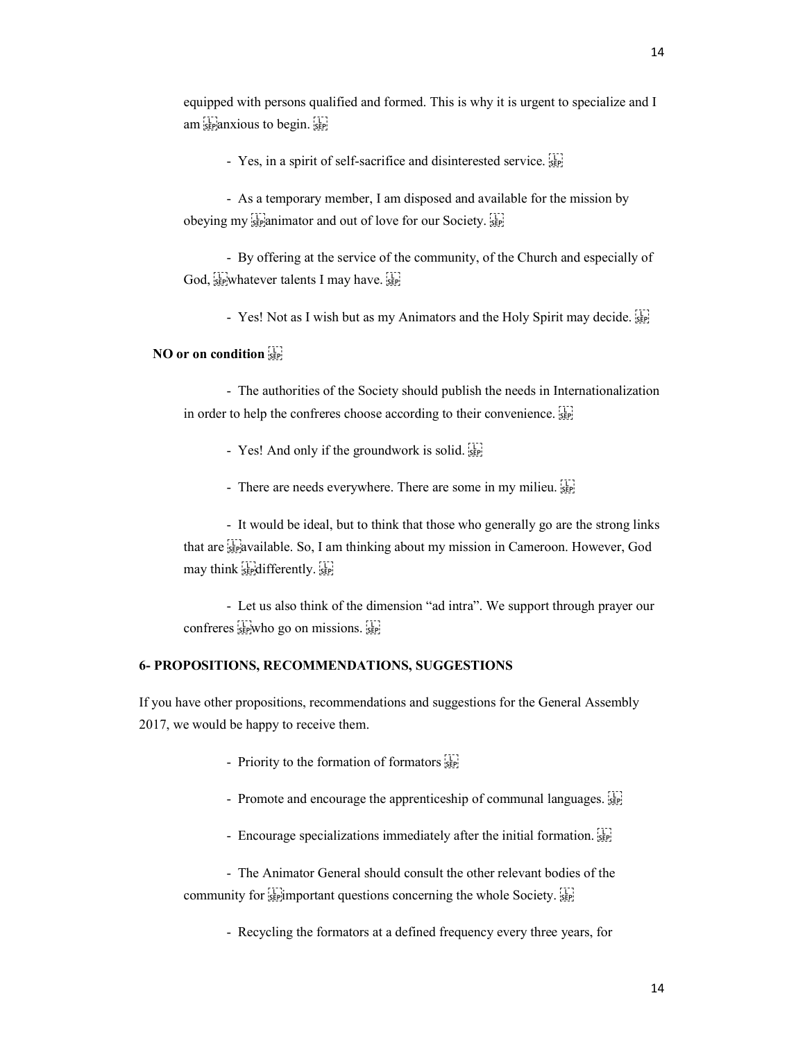- Yes, in a spirit of self-sacrifice and disinterested service. SEP

 - As a temporary member, I am disposed and available for the mission by obeying my steaming and out of love for our Society.

 - By offering at the service of the community, of the Church and especially of God,  $\frac{1}{35}$  whatever talents I may have.  $\frac{1}{35}$ 

- Yes! Not as I wish but as my Animators and the Holy Spirit may decide.

## NO or on condition SEP.

 - The authorities of the Society should publish the needs in Internationalization in order to help the confreres choose according to their convenience.

- Yes! And only if the groundwork is solid.
- There are needs everywhere. There are some in my milieu.

 - It would be ideal, but to think that those who generally go are the strong links that are *s*<sub>ist</sub> available. So, I am thinking about my mission in Cameroon. However, God may think separative separative

 - Let us also think of the dimension "ad intra". We support through prayer our confreres  $s_{\text{sep}}$  who go on missions.  $s_{\text{sep}}$ 

## 6- PROPOSITIONS, RECOMMENDATIONS, SUGGESTIONS

If you have other propositions, recommendations and suggestions for the General Assembly 2017, we would be happy to receive them.

- Priority to the formation of formators  $\frac{1}{25}$
- Promote and encourage the apprenticeship of communal languages.
- Encourage specializations immediately after the initial formation.

 - The Animator General should consult the other relevant bodies of the community for  $\frac{1}{15}$  important questions concerning the whole Society.

- Recycling the formators at a defined frequency every three years, for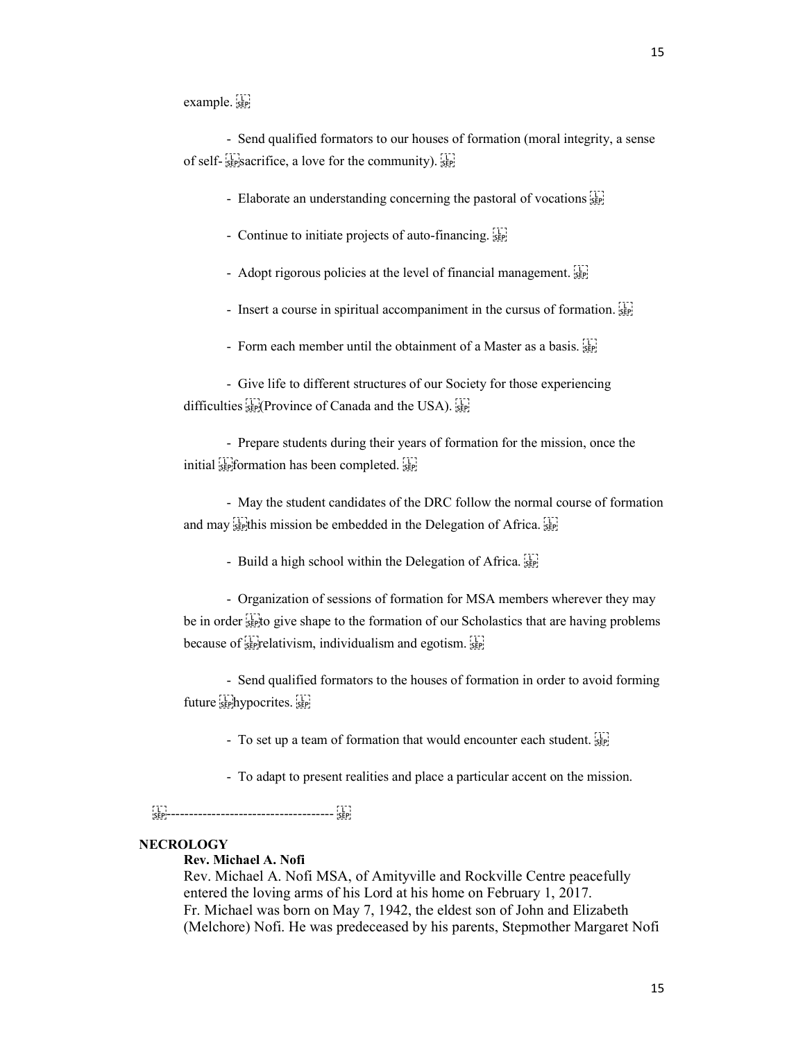example.

 - Send qualified formators to our houses of formation (moral integrity, a sense of self- $\frac{1}{15}$  sacrifice, a love for the community).  $\frac{1}{15}$ 

- Elaborate an understanding concerning the pastoral of vocations  $\overline{SP}$ 

- Continue to initiate projects of auto-financing.

- Adopt rigorous policies at the level of financial management.

- Insert a course in spiritual accompaniment in the cursus of formation.

- Form each member until the obtainment of a Master as a basis.

 - Give life to different structures of our Society for those experiencing difficulties  $\frac{1}{\text{SEP}}$  Province of Canada and the USA).

 - Prepare students during their years of formation for the mission, once the initial  $\frac{1}{15}$  formation has been completed.

 - May the student candidates of the DRC follow the normal course of formation and may  $\frac{1}{100}$  this mission be embedded in the Delegation of Africa.

- Build a high school within the Delegation of Africa.

 - Organization of sessions of formation for MSA members wherever they may be in order step to give shape to the formation of our Scholastics that are having problems because of  $\sum_{s \in \mathbb{P}}$  relativism, individualism and egotism.

 - Send qualified formators to the houses of formation in order to avoid forming future sephypocrites.

- To set up a team of formation that would encounter each student.

- To adapt to present realities and place a particular accent on the mission.

------------------------------------- 

### **NECROLOGY**

Rev. Michael A. Nofi

Rev. Michael A. Nofi MSA, of Amityville and Rockville Centre peacefully entered the loving arms of his Lord at his home on February 1, 2017. Fr. Michael was born on May 7, 1942, the eldest son of John and Elizabeth (Melchore) Nofi. He was predeceased by his parents, Stepmother Margaret Nofi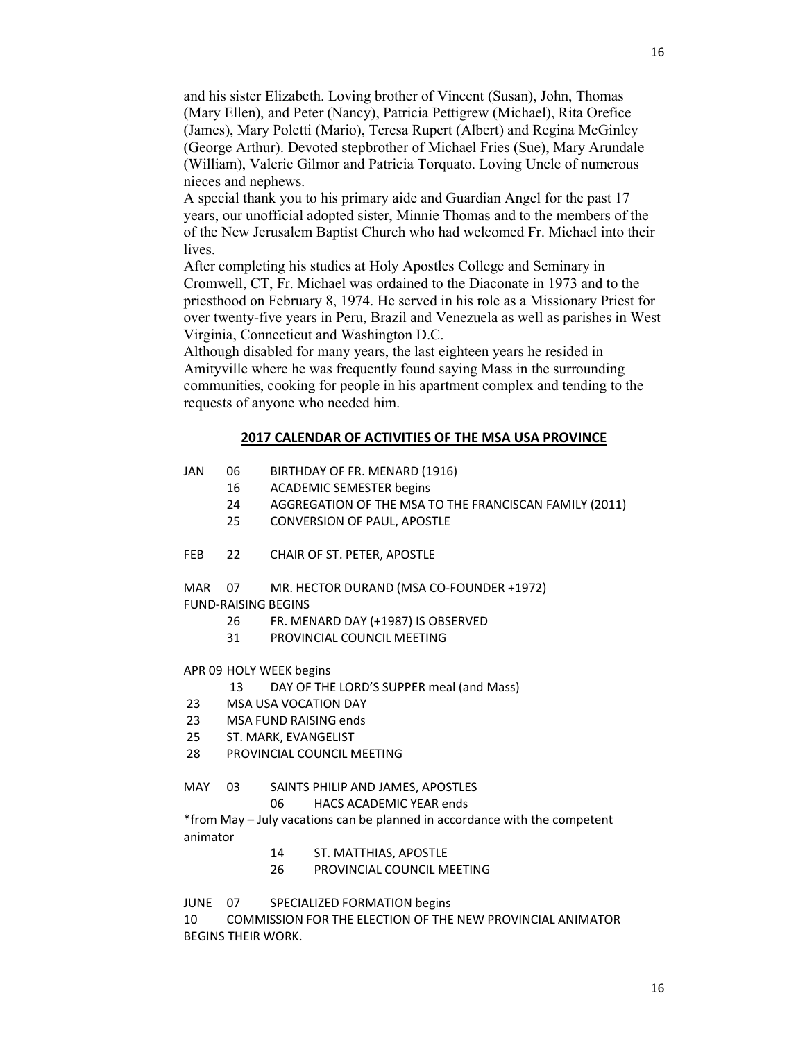and his sister Elizabeth. Loving brother of Vincent (Susan), John, Thomas (Mary Ellen), and Peter (Nancy), Patricia Pettigrew (Michael), Rita Orefice (James), Mary Poletti (Mario), Teresa Rupert (Albert) and Regina McGinley (George Arthur). Devoted stepbrother of Michael Fries (Sue), Mary Arundale (William), Valerie Gilmor and Patricia Torquato. Loving Uncle of numerous nieces and nephews.

A special thank you to his primary aide and Guardian Angel for the past 17 years, our unofficial adopted sister, Minnie Thomas and to the members of the of the New Jerusalem Baptist Church who had welcomed Fr. Michael into their lives.

After completing his studies at Holy Apostles College and Seminary in Cromwell, CT, Fr. Michael was ordained to the Diaconate in 1973 and to the priesthood on February 8, 1974. He served in his role as a Missionary Priest for over twenty-five years in Peru, Brazil and Venezuela as well as parishes in West Virginia, Connecticut and Washington D.C.

Although disabled for many years, the last eighteen years he resided in Amityville where he was frequently found saying Mass in the surrounding communities, cooking for people in his apartment complex and tending to the requests of anyone who needed him.

### 2017 CALENDAR OF ACTIVITIES OF THE MSA USA PROVINCE

- JAN 06 BIRTHDAY OF FR. MENARD (1916)
	- 16 ACADEMIC SEMESTER begins
		- 24 AGGREGATION OF THE MSA TO THE FRANCISCAN FAMILY (2011)
	- 25 CONVERSION OF PAUL, APOSTLE
- FEB 22 CHAIR OF ST. PETER, APOSTLE

MAR 07 MR. HECTOR DURAND (MSA CO-FOUNDER +1972) FUND-RAISING BEGINS

- 26 FR. MENARD DAY (+1987) IS OBSERVED
- 31 PROVINCIAL COUNCIL MEETING
- APR 09 HOLY WEEK begins
	- 13 DAY OF THE LORD'S SUPPER meal (and Mass)
- 23 MSA USA VOCATION DAY
- 23 MSA FUND RAISING ends
- 25 ST. MARK, EVANGELIST
- 28 PROVINCIAL COUNCIL MEETING

### MAY 03 SAINTS PHILIP AND JAMES, APOSTLES

06 HACS ACADEMIC YEAR ends

\*from May – July vacations can be planned in accordance with the competent animator

- 14 ST. MATTHIAS, APOSTLE
- 26 PROVINCIAL COUNCIL MEETING

JUNE 07 SPECIALIZED FORMATION begins

10 COMMISSION FOR THE ELECTION OF THE NEW PROVINCIAL ANIMATOR BEGINS THEIR WORK.